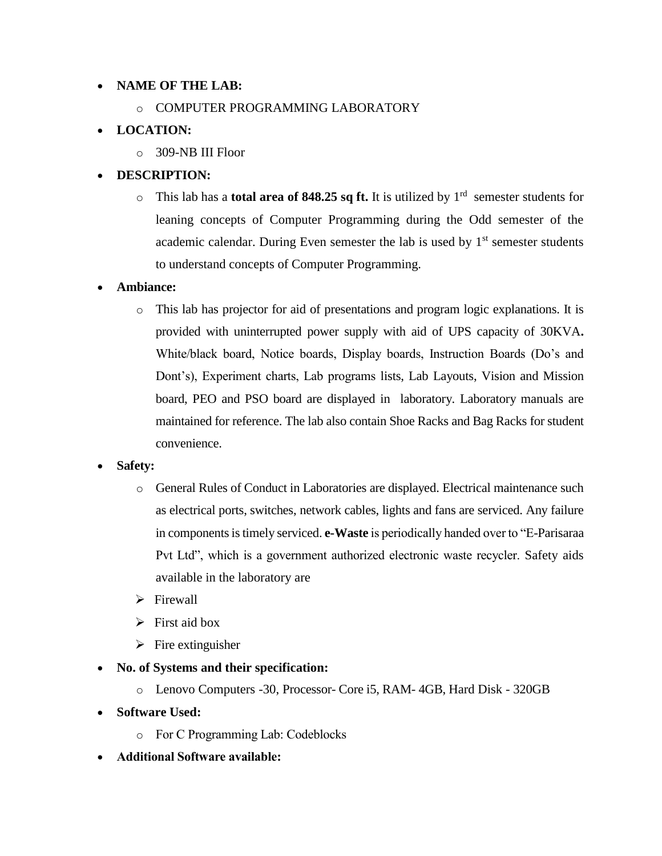#### **NAME OF THE LAB:**

o COMPUTER PROGRAMMING LABORATORY

## **LOCATION:**

 $\circ$  309-NB III Floor

## **DESCRIPTION:**

 $\circ$  This lab has a **total area of 848.25 sq ft.** It is utilized by 1<sup>rd</sup> semester students for leaning concepts of Computer Programming during the Odd semester of the academic calendar. During Even semester the lab is used by  $1<sup>st</sup>$  semester students to understand concepts of Computer Programming.

### **Ambiance:**

o This lab has projector for aid of presentations and program logic explanations. It is provided with uninterrupted power supply with aid of UPS capacity of 30KVA**.**  White/black board, Notice boards, Display boards, Instruction Boards (Do's and Dont's), Experiment charts, Lab programs lists, Lab Layouts, Vision and Mission board, PEO and PSO board are displayed in laboratory. Laboratory manuals are maintained for reference. The lab also contain Shoe Racks and Bag Racks for student convenience.

### **Safety:**

- o General Rules of Conduct in Laboratories are displayed. Electrical maintenance such as electrical ports, switches, network cables, lights and fans are serviced. Any failure in components is timely serviced. **e-Waste** is periodically handed over to "E-Parisaraa Pvt Ltd", which is a government authorized electronic waste recycler. Safety aids available in the laboratory are
- $\triangleright$  Firewall
- $\triangleright$  First aid box
- $\triangleright$  Fire extinguisher
- **No. of Systems and their specification:** 
	- o Lenovo Computers -30, Processor- Core i5, RAM- 4GB, Hard Disk 320GB
- **Software Used:** 
	- o For C Programming Lab: Codeblocks
- **Additional Software available:**